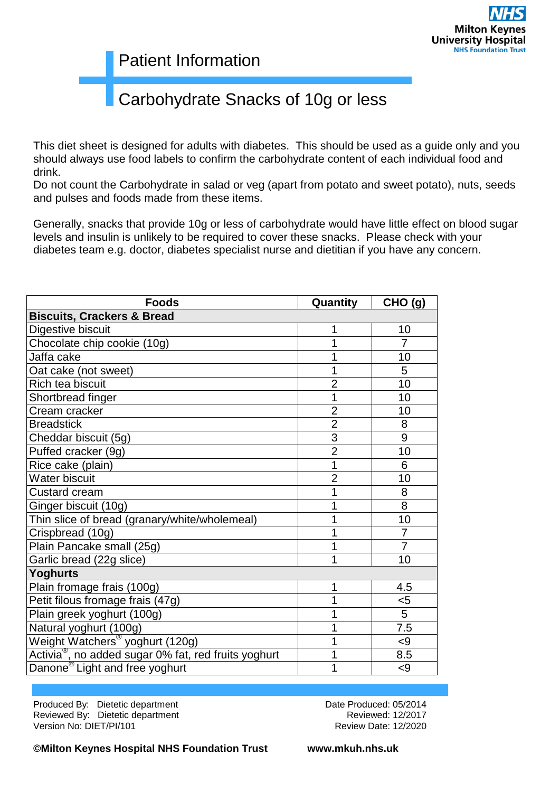#### Patient Information

## Carbohydrate Snacks of 10g or less

This diet sheet is designed for adults with diabetes. This should be used as a guide only and you should always use food labels to confirm the carbohydrate content of each individual food and drink.

Do not count the Carbohydrate in salad or veg (apart from potato and sweet potato), nuts, seeds and pulses and foods made from these items.

Generally, snacks that provide 10g or less of carbohydrate would have little effect on blood sugar levels and insulin is unlikely to be required to cover these snacks. Please check with your diabetes team e.g. doctor, diabetes specialist nurse and dietitian if you have any concern.

| <b>Foods</b>                                                     | Quantity       | CHO (g)        |  |  |
|------------------------------------------------------------------|----------------|----------------|--|--|
| <b>Biscuits, Crackers &amp; Bread</b>                            |                |                |  |  |
| Digestive biscuit                                                | 1              | 10             |  |  |
| Chocolate chip cookie (10g)                                      | 1              | 7              |  |  |
| Jaffa cake                                                       | 1              | 10             |  |  |
| Oat cake (not sweet)                                             | 1              | 5              |  |  |
| Rich tea biscuit                                                 | $\overline{2}$ | 10             |  |  |
| Shortbread finger                                                | 1              | 10             |  |  |
| Cream cracker                                                    | $\overline{2}$ | 10             |  |  |
| <b>Breadstick</b>                                                | $\overline{2}$ | 8              |  |  |
| Cheddar biscuit (5g)                                             | 3              | 9              |  |  |
| Puffed cracker (9g)                                              | $\overline{2}$ | 10             |  |  |
| Rice cake (plain)                                                | 1              | 6              |  |  |
| <b>Water biscuit</b>                                             | $\overline{2}$ | 10             |  |  |
| <b>Custard cream</b>                                             | 1              | 8              |  |  |
| Ginger biscuit (10g)                                             | 1              | $\overline{8}$ |  |  |
| Thin slice of bread (granary/white/wholemeal)                    | 1              | 10             |  |  |
| Crispbread (10g)                                                 | 1              | $\overline{7}$ |  |  |
| Plain Pancake small (25g)                                        | 1              | $\overline{7}$ |  |  |
| Garlic bread (22g slice)                                         | 1              | 10             |  |  |
| <b>Yoghurts</b>                                                  |                |                |  |  |
| Plain fromage frais (100g)                                       | 1              | 4.5            |  |  |
| Petit filous fromage frais (47g)                                 | 1              | $5$            |  |  |
| Plain greek yoghurt (100g)                                       |                | 5              |  |  |
| Natural yoghurt (100g)                                           |                | 7.5            |  |  |
| Weight Watchers <sup>®</sup> yoghurt (120g)                      | 1              | < 9            |  |  |
| Activia <sup>®</sup> , no added sugar 0% fat, red fruits yoghurt | 1              | 8.5            |  |  |
| Danone <sup>®</sup> Light and free yoghurt                       |                | $\leq$         |  |  |

Produced By: Dietetic department **Date Produced: 05/2014** Reviewed By: Dietetic department **Reviewed: 12/2017** Reviewed: 12/2017 Version No: DIET/PI/101 Review Date: 12/2020

**©Milton Keynes Hospital NHS Foundation Trust www.mkuh.nhs.uk**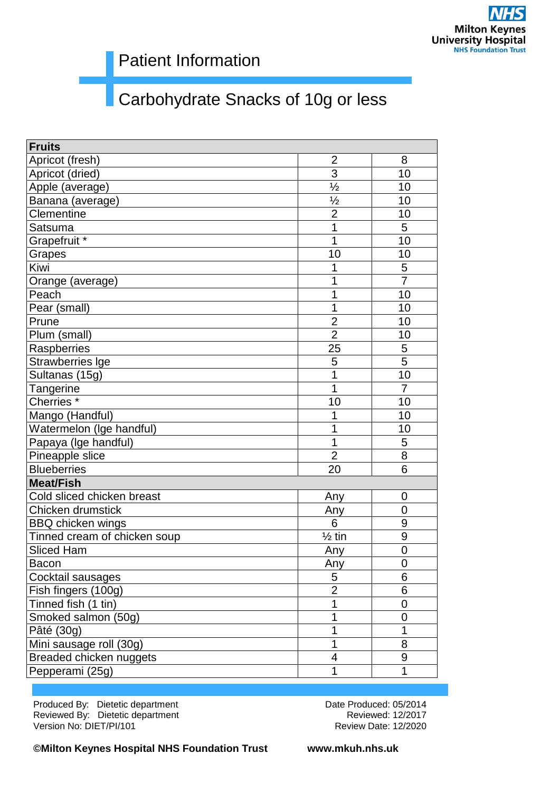### Patient Information

# Carbohydrate Snacks of 10g or less

| <b>Fruits</b>                |                   |                |
|------------------------------|-------------------|----------------|
| Apricot (fresh)              | $\overline{2}$    | 8              |
| Apricot (dried)              | 3                 | 10             |
| Apple (average)              | $\frac{1}{2}$     | 10             |
| Banana (average)             | $\frac{1}{2}$     | 10             |
| Clementine                   | $\overline{2}$    | 10             |
| Satsuma                      | 1                 | 5              |
| Grapefruit *                 | 1                 | 10             |
| Grapes                       | 10                | 10             |
| Kiwi                         | 1                 | 5              |
| Orange (average)             | 1                 | $\overline{7}$ |
| Peach                        | 1                 | 10             |
| Pear (small)                 | 1                 | 10             |
| Prune                        | $\overline{2}$    | 10             |
| Plum (small)                 | $\overline{2}$    | 10             |
| Raspberries                  | 25                | 5              |
| Strawberries Ige             | 5                 | 5              |
| Sultanas (15g)               | 1                 | 10             |
| Tangerine                    | 1                 | $\overline{7}$ |
| Cherries <sup>*</sup>        | 10                | 10             |
| Mango (Handful)              | 1                 | 10             |
| Watermelon (Ige handful)     | 1                 | 10             |
| Papaya (Ige handful)         | 1                 | 5              |
| Pineapple slice              | $\overline{2}$    | 8              |
| <b>Blueberries</b>           | 20                | 6              |
| <b>Meat/Fish</b>             |                   |                |
| Cold sliced chicken breast   | Any               | 0              |
| Chicken drumstick            | Any               | $\mathbf 0$    |
| <b>BBQ</b> chicken wings     | 6                 | 9              |
| Tinned cream of chicken soup | $\frac{1}{2}$ tin | $\overline{9}$ |
| <b>Sliced Ham</b>            | Any               | $\overline{0}$ |
| Bacon                        | Any               | $\overline{0}$ |
| Cocktail sausages            | 5                 | 6              |
| Fish fingers (100g)          | $\overline{2}$    | 6              |
| Tinned fish (1 tin)          | 1                 | 0              |
| Smoked salmon (50g)          |                   | 0              |
| Pâté (30g)                   |                   | 1              |
| Mini sausage roll (30g)      | 1                 | 8              |
| Breaded chicken nuggets      | 4                 | 9              |
| Pepperami (25g)              | 1                 | 1              |

Produced By: Dietetic department **Date Produced: 05/2014** Date Produced: 05/2014 Reviewed By: Dietetic department **Reviewed: 12/2017** Reviewed: 12/2017 Version No: DIET/PI/101 Review Date: 12/2020

**©Milton Keynes Hospital NHS Foundation Trust www.mkuh.nhs.uk**